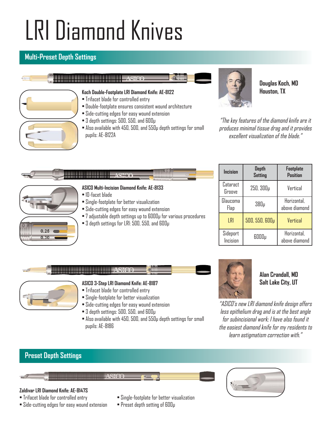# LRI Diamond Knives

## **Multi-Preset Depth Settings**



# **Koch Double-Footplate LRI Diamond Knife: AE-8122**

- Trifacet blade for controlled entry
- Double-footplate ensures consistent wound architecture
- Side-cutting edges for easy wound extension
- 3 depth settings: 500, 550, and 600µ
- Also available with 450, 500, and 550µ depth settings for small pupils: AE-8122A



**Douglas Koch, MD Houston, TX**

"The key features of the diamond knife are it produces minimal tissue drag and it provides excellent visualization of the blade."



• 3 depth settings for LRI: 500, 550, and 600µ

|  | Incision             | <b>Depth</b><br><b>Setting</b> | Footplate<br>Position        |  |
|--|----------------------|--------------------------------|------------------------------|--|
|  | Cataract<br>Groove   | 250, 300µ                      | Vertical                     |  |
|  | Glaucoma<br>Flap     | 380 <sub>µ</sub>               | Horizontal,<br>above diamond |  |
|  | LRI                  | 500, 550, 600 <sub>Y</sub>     | Vertical                     |  |
|  | Sideport<br>Incision | 6000µ                          | Horizontal,<br>above diamond |  |

# **ASTO**



 $0.25$ 

#### **ASICO 3-Step LRI Diamond Knife: AE-8187**

- Trifacet blade for controlled entry
- Single-footplate for better visualization
- Side-cutting edges for easy wound extension
- 3 depth settings: 500, 550, and 600µ
- Also available with 450, 500, and 550µ depth settings for small pupils: AE-8186



#### **Alan Crandall, MD Salt Lake City, UT**

"ASICO's new LRI diamond knife design offers less epithelium drag and is at the best angle for subincisional work; I have also found it the easiest diamond knife for my residents to learn astigmatism correction with."

### **Preset Depth Settings**

#### **ASICO**

#### **Zaldivar LRI Diamond Knife: AE-8147S**

- 
- Side-cutting edges for easy wound extension Preset depth setting of 600µ
- Trifacet blade for controlled entry Single-footplate for better visualization
	-